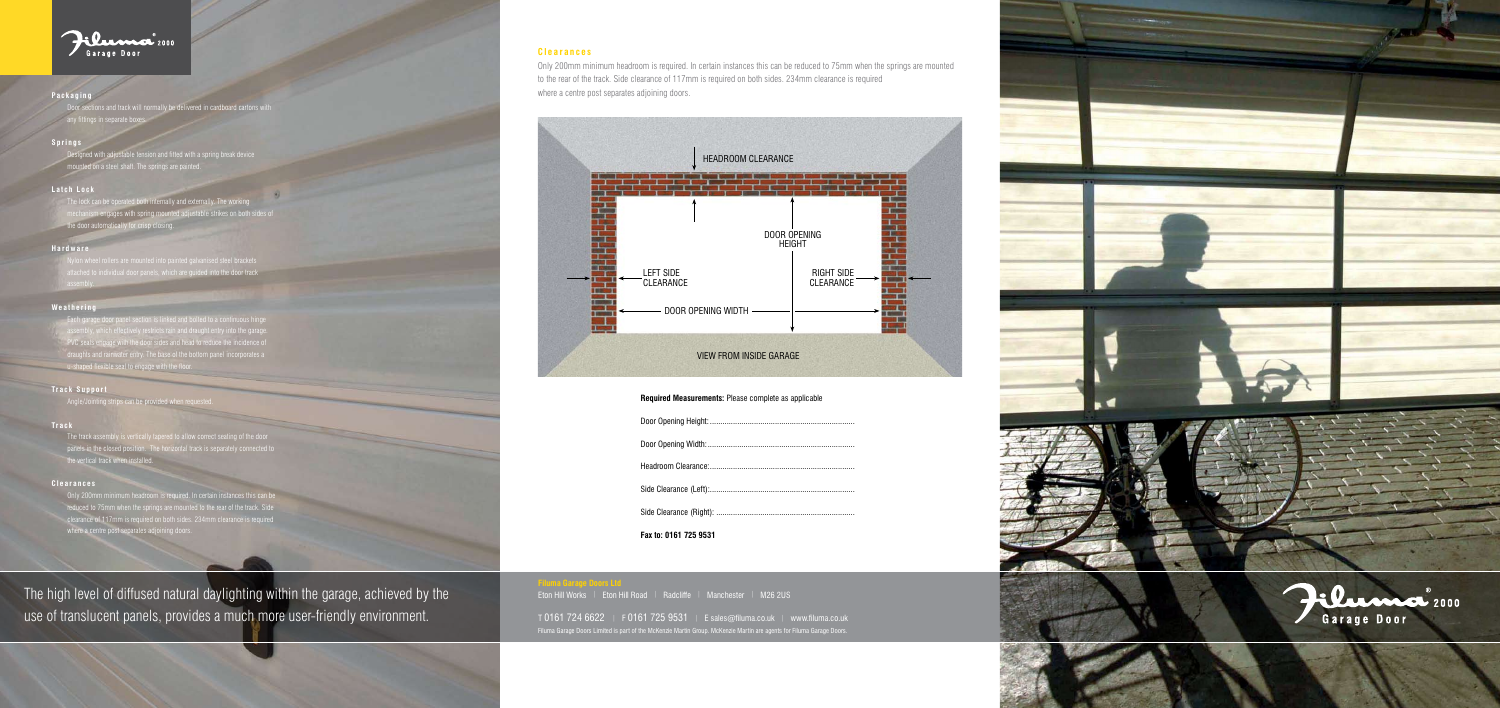#### **Filuma Garage Doors Ltd**

Eton Hill Works | Eton Hill Road | Radcliffe | Manchester | M26 2US

T 0161 724 6622 | F 0161 725 9531 | E sales@filuma.co.uk | www.filuma.co.uk Filuma Garage Doors Limited is part of the McKenzie Martin Group. McKenzie Martin are agents for Filuma Garage Doors.



The high level of diffused natural daylighting within the garage, achieved by the use of translucent panels, provides a much more user-friendly environment.

Each garage door panel section is linked and bolted to a continuous hinge assembly, which effectively restricts rain and draught entry into the garage. PVC seals engage with the door sides and head to reduce the incidence of draughts and rainwater entry. The base of the bottom panel incorporates a u-shaped flexible seal to engage with the floor



## **Packaging**

)<br>Ins and track will normally be delivered in cardboard cartons with any fittings in separate boxe

## **Springs**

# **Latch Lock**

# **Hardware**

# **Weathering**

# **Track Support**

Angle/Jointing strips can be provided when re

## **Track**

#### **Clearances**

Designed with adjustable tension and fitted with a spring break device mounted on a steel shaft. The springs are painted.

The lock can be operated both internally and externally. The working mechanism engages with spring mounted adjustable strikes on both sides of

Only 200mm minimum headroom is required. In certain instances this car reduced to 75mm when the springs are mounted to the rear of the track. Side clearance of 117mm is required on both sides. 234mm clearance is required where a centre post separates adjoining doors.

the door automatically for crisp closing.

attached to individual door panels, which are guided into the door track assembly.

The track assembly is vertically tapered to allow correct seating of the door panels in the closed position. The horizontal track is separately connected to the vertical track when installed.

# **Clearances**

Only 200mm minimum headroom is required. In certain instances this can be reduced to 75mm when the springs are mounted to the rear of the track. Side clearance of 117mm is required on both sides. 234mm clearance is required where a centre post separates adjoining doors.



## **Required Measurements:** Please complete as applicable

Door Opening Height:

Door Opening Width:

Headroom Clearance:

Side Clearance (Left):..

Side Clearance (Right):

**Fax to: 0161 725 9531**